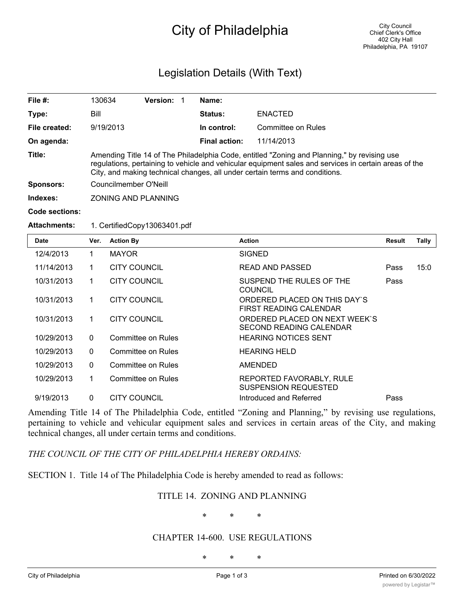# City of Philadelphia

# Legislation Details (With Text)

| File $#$ :          | 130634                                                                                                                                                                                                                                                                              | <b>Version:</b> |  | Name:                |                    |  |
|---------------------|-------------------------------------------------------------------------------------------------------------------------------------------------------------------------------------------------------------------------------------------------------------------------------------|-----------------|--|----------------------|--------------------|--|
| Type:               | Bill                                                                                                                                                                                                                                                                                |                 |  | <b>Status:</b>       | <b>ENACTED</b>     |  |
| File created:       | 9/19/2013                                                                                                                                                                                                                                                                           |                 |  | In control:          | Committee on Rules |  |
| On agenda:          |                                                                                                                                                                                                                                                                                     |                 |  | <b>Final action:</b> | 11/14/2013         |  |
| Title:              | Amending Title 14 of The Philadelphia Code, entitled "Zoning and Planning," by revising use<br>regulations, pertaining to vehicle and vehicular equipment sales and services in certain areas of the<br>City, and making technical changes, all under certain terms and conditions. |                 |  |                      |                    |  |
| <b>Sponsors:</b>    | Councilmember O'Neill                                                                                                                                                                                                                                                               |                 |  |                      |                    |  |
| Indexes:            | <b>ZONING AND PLANNING</b>                                                                                                                                                                                                                                                          |                 |  |                      |                    |  |
| Code sections:      |                                                                                                                                                                                                                                                                                     |                 |  |                      |                    |  |
| <b>Attachments:</b> | 1. CertifiedCopy13063401.pdf                                                                                                                                                                                                                                                        |                 |  |                      |                    |  |

| <b>Date</b> | Ver.     | <b>Action By</b>    | <b>Action</b>                                            | Result | <b>Tally</b> |
|-------------|----------|---------------------|----------------------------------------------------------|--------|--------------|
| 12/4/2013   | 1        | <b>MAYOR</b>        | <b>SIGNED</b>                                            |        |              |
| 11/14/2013  | 1        | <b>CITY COUNCIL</b> | <b>READ AND PASSED</b>                                   | Pass   | 15:0         |
| 10/31/2013  | 1        | <b>CITY COUNCIL</b> | SUSPEND THE RULES OF THE<br><b>COUNCIL</b>               | Pass   |              |
| 10/31/2013  | 1        | <b>CITY COUNCIL</b> | ORDERED PLACED ON THIS DAY'S<br>FIRST READING CALENDAR   |        |              |
| 10/31/2013  | 1        | <b>CITY COUNCIL</b> | ORDERED PLACED ON NEXT WEEK'S<br>SECOND READING CALENDAR |        |              |
| 10/29/2013  | $\Omega$ | Committee on Rules  | <b>HEARING NOTICES SENT</b>                              |        |              |
| 10/29/2013  | $\Omega$ | Committee on Rules  | <b>HEARING HELD</b>                                      |        |              |
| 10/29/2013  | $\Omega$ | Committee on Rules  | AMENDED                                                  |        |              |
| 10/29/2013  | 1        | Committee on Rules  | REPORTED FAVORABLY, RULE<br><b>SUSPENSION REQUESTED</b>  |        |              |
| 9/19/2013   | $\Omega$ | <b>CITY COUNCIL</b> | Introduced and Referred                                  | Pass   |              |

Amending Title 14 of The Philadelphia Code, entitled "Zoning and Planning," by revising use regulations, pertaining to vehicle and vehicular equipment sales and services in certain areas of the City, and making technical changes, all under certain terms and conditions.

*THE COUNCIL OF THE CITY OF PHILADELPHIA HEREBY ORDAINS:*

SECTION 1. Title 14 of The Philadelphia Code is hereby amended to read as follows:

### TITLE 14. ZONING AND PLANNING

\* \* \*

#### CHAPTER 14-600. USE REGULATIONS

\* \* \*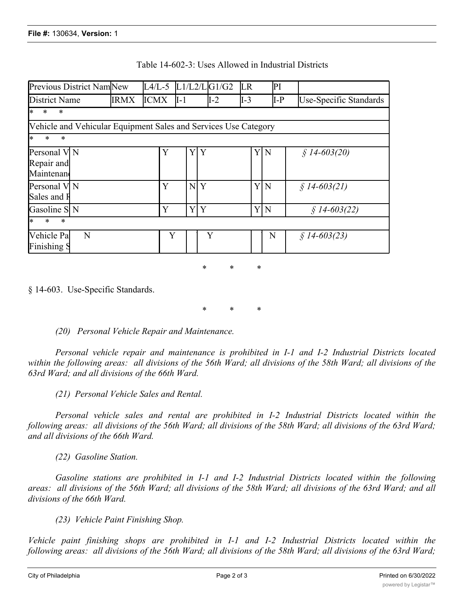| <b>Previous District NamINew</b>                                |             |             |        | $L4/L-5$ $L1/L2/L G1/G2$ | <b>LR</b> | PI  |                        |  |
|-----------------------------------------------------------------|-------------|-------------|--------|--------------------------|-----------|-----|------------------------|--|
| District Name                                                   | <b>IRMX</b> | <b>ICMX</b> | $II-1$ | $I-2$                    | $I-3$     | I-P | Use-Specific Standards |  |
| *<br>$\ast$<br>$\ast$                                           |             |             |        |                          |           |     |                        |  |
| Vehicle and Vehicular Equipment Sales and Services Use Category |             |             |        |                          |           |     |                        |  |
| l*<br>$\ast$<br>$\ast$                                          |             |             |        |                          |           |     |                        |  |
| Personal V N<br>Repair and<br>Maintenand                        |             | Y           | Y      | Y                        | Y         | N   | $$14-603(20)$          |  |
| Personal V  N<br>Sales and F                                    |             | Y           |        | N <sub>Y</sub>           | Y         | N   | $$14-603(21)$          |  |
| Gasoline S N                                                    |             | Y           | Y      | Y                        | Y         | N   | $$14-603(22)$          |  |
| $\ast$<br>l*<br>$\ast$                                          |             |             |        |                          |           |     |                        |  |
| Vehicle Pa<br>N<br>Finishing S                                  |             | Y           |        | Y                        |           | N   | $$14-603(23)$          |  |

#### Table 14-602-3: Uses Allowed in Industrial Districts

§ 14-603. Use-Specific Standards.

\* \* \*

\* \* \*

## *(20) Personal Vehicle Repair and Maintenance.*

*Personal vehicle repair and maintenance is prohibited in I-1 and I-2 Industrial Districts located* within the following areas: all divisions of the 56th Ward; all divisions of the 58th Ward; all divisions of the *63rd Ward; and all divisions of the 66th Ward.*

*(21) Personal Vehicle Sales and Rental.*

*Personal vehicle sales and rental are prohibited in I-2 Industrial Districts located within the* following areas: all divisions of the 56th Ward; all divisions of the 58th Ward; all divisions of the 63rd Ward; *and all divisions of the 66th Ward.*

*(22) Gasoline Station.*

*Gasoline stations are prohibited in I-1 and I-2 Industrial Districts located within the following* areas: all divisions of the 56th Ward; all divisions of the 58th Ward; all divisions of the 63rd Ward; and all *divisions of the 66th Ward.*

*(23) Vehicle Paint Finishing Shop.*

*Vehicle paint finishing shops are prohibited in I-1 and I-2 Industrial Districts located within the* following areas: all divisions of the 56th Ward; all divisions of the 58th Ward; all divisions of the 63rd Ward;